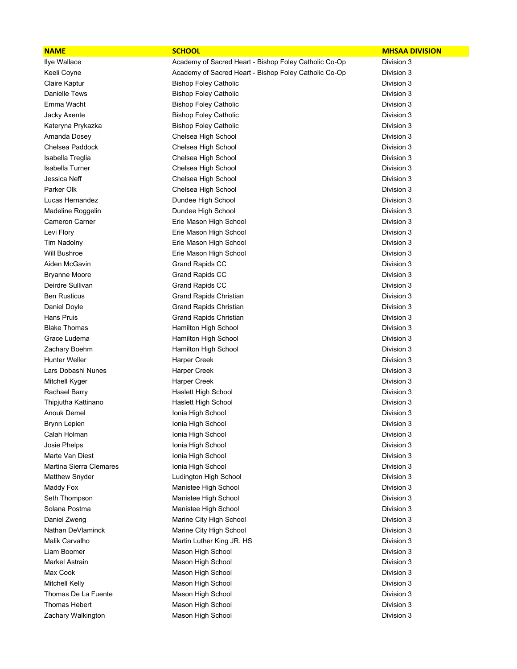| <b>NAME</b>                    | <b>SCHOOL</b>                                         | <b>MHSAA DIVISION</b> |
|--------------------------------|-------------------------------------------------------|-----------------------|
| Ilye Wallace                   | Academy of Sacred Heart - Bishop Foley Catholic Co-Op | Division 3            |
| Keeli Coyne                    | Academy of Sacred Heart - Bishop Foley Catholic Co-Op | Division 3            |
| Claire Kaptur                  | <b>Bishop Foley Catholic</b>                          | Division 3            |
| Danielle Tews                  | <b>Bishop Foley Catholic</b>                          | Division 3            |
| Emma Wacht                     | <b>Bishop Foley Catholic</b>                          | Division 3            |
| Jacky Axente                   | <b>Bishop Foley Catholic</b>                          | Division 3            |
| Kateryna Prykazka              | <b>Bishop Foley Catholic</b>                          | Division 3            |
| Amanda Dosey                   | Chelsea High School                                   | Division 3            |
| Chelsea Paddock                | Chelsea High School                                   | Division 3            |
| Isabella Treglia               | Chelsea High School                                   | Division 3            |
| Isabella Turner                | Chelsea High School                                   | Division 3            |
| Jessica Neff                   | Chelsea High School                                   | Division 3            |
| Parker Olk                     | Chelsea High School                                   | Division 3            |
| Lucas Hernandez                | Dundee High School                                    | Division 3            |
| Madeline Roggelin              | Dundee High School                                    | Division 3            |
| <b>Cameron Carner</b>          | Erie Mason High School                                | Division 3            |
| Levi Flory                     | Erie Mason High School                                | Division 3            |
| Tim Nadolny                    | Erie Mason High School                                | Division 3            |
| <b>Will Bushroe</b>            | Erie Mason High School                                | Division 3            |
| Aiden McGavin                  | <b>Grand Rapids CC</b>                                | Division 3            |
| <b>Bryanne Moore</b>           | <b>Grand Rapids CC</b>                                | Division 3            |
| Deirdre Sullivan               | <b>Grand Rapids CC</b>                                | Division 3            |
| <b>Ben Rusticus</b>            | Grand Rapids Christian                                | Division 3            |
| Daniel Doyle                   | <b>Grand Rapids Christian</b>                         | Division 3            |
| Hans Pruis                     | Grand Rapids Christian                                | Division 3            |
| <b>Blake Thomas</b>            | Hamilton High School                                  | Division 3            |
| Grace Ludema                   | Hamilton High School                                  | Division 3            |
| Zachary Boehm                  | Hamilton High School                                  | Division 3            |
| <b>Hunter Weller</b>           | <b>Harper Creek</b>                                   | Division 3            |
| Lars Dobashi Nunes             | <b>Harper Creek</b>                                   | Division 3            |
| Mitchell Kyger                 | <b>Harper Creek</b>                                   | Division 3            |
| Rachael Barry                  | Haslett High School                                   | Division 3            |
| Thipjutha Kattinano            | Haslett High School                                   | Division 3            |
| <b>Anouk Demel</b>             | Ionia High School                                     | Division 3            |
| Brynn Lepien                   | Ionia High School                                     | Division 3            |
| Calah Holman                   | Ionia High School                                     | Division 3            |
| Josie Phelps                   | Ionia High School                                     | Division 3            |
| Marte Van Diest                | Ionia High School                                     | Division 3            |
| <b>Martina Sierra Clemares</b> | Ionia High School                                     | Division 3            |
| Matthew Snyder                 | Ludington High School                                 | Division 3            |
| Maddy Fox                      | Manistee High School                                  | Division 3            |
| Seth Thompson                  | Manistee High School                                  | Division 3            |
| Solana Postma                  | Manistee High School                                  | Division 3            |
| Daniel Zweng                   | Marine City High School                               | Division 3            |
| Nathan DeVlaminck              | Marine City High School                               | Division 3            |
| Malik Carvalho                 | Martin Luther King JR. HS                             | Division 3            |
| Liam Boomer                    | Mason High School                                     | Division 3            |
| Markel Astrain                 | Mason High School                                     | Division 3            |
| Max Cook                       | Mason High School                                     | Division 3            |
| <b>Mitchell Kelly</b>          | Mason High School                                     | Division 3            |
| Thomas De La Fuente            | Mason High School                                     | Division 3            |
| Thomas Hebert                  | Mason High School                                     | Division 3            |
| Zachary Walkington             | Mason High School                                     | Division 3            |